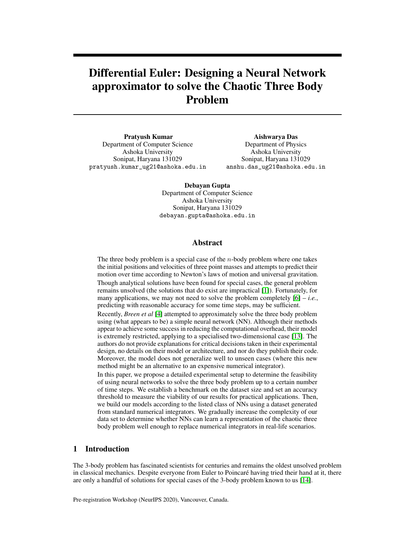# Differential Euler: Designing a Neural Network approximator to solve the Chaotic Three Body Problem

Pratyush Kumar Department of Computer Science Ashoka University Sonipat, Haryana 131029 pratyush.kumar\_ug21@ashoka.edu.in

Aishwarya Das Department of Physics Ashoka University Sonipat, Haryana 131029 anshu.das\_ug21@ashoka.edu.in

Debayan Gupta Department of Computer Science Ashoka University Sonipat, Haryana 131029 debayan.gupta@ashoka.edu.in

## Abstract

The three body problem is a special case of the  $n$ -body problem where one takes the initial positions and velocities of three point masses and attempts to predict their motion over time according to Newton's laws of motion and universal gravitation. Though analytical solutions have been found for special cases, the general problem remains unsolved (the solutions that do exist are impractical [\[1\]](#page-5-0)). Fortunately, for many applications, we may not need to solve the problem completely  $[6] - i.e.,$  $[6] - i.e.,$ predicting with reasonable accuracy for some time steps, may be sufficient.

Recently, *Breen et al* [\[4\]](#page-5-2) attempted to approximately solve the three body problem using (what appears to be) a simple neural network (NN). Although their methods appear to achieve some success in reducing the computational overhead, their model is extremely restricted, applying to a specialised two-dimensional case [\[13\]](#page-6-0). The authors do not provide explanations for critical decisions taken in their experimental design, no details on their model or architecture, and nor do they publish their code. Moreover, the model does not generalize well to unseen cases (where this new method might be an alternative to an expensive numerical integrator).

In this paper, we propose a detailed experimental setup to determine the feasibility of using neural networks to solve the three body problem up to a certain number of time steps. We establish a benchmark on the dataset size and set an accuracy threshold to measure the viability of our results for practical applications. Then, we build our models according to the listed class of NNs using a dataset generated from standard numerical integrators. We gradually increase the complexity of our data set to determine whether NNs can learn a representation of the chaotic three body problem well enough to replace numerical integrators in real-life scenarios.

## 1 Introduction

The 3-body problem has fascinated scientists for centuries and remains the oldest unsolved problem in classical mechanics. Despite everyone from Euler to Poincaré having tried their hand at it, there are only a handful of solutions for special cases of the 3-body problem known to us [\[14\]](#page-6-1).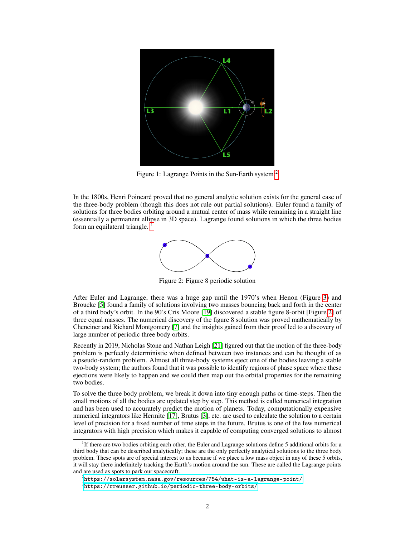

Figure 1: Lagrange Points in the Sun-Earth system:<sup>[2](#page-1-0)</sup>

<span id="page-1-2"></span>In the 1800s, Henri Poincaré proved that no general analytic solution exists for the general case of the three-body problem (though this does not rule out partial solutions). Euler found a family of solutions for three bodies orbiting around a mutual center of mass while remaining in a straight line (essentially a permanent ellipse in 3D space). Lagrange found solutions in which the three bodies form an equilateral triangle.



Figure 2: Figure 8 periodic solution

After Euler and Lagrange, there was a huge gap until the 1970's when Henon (Figure [3\)](#page-2-0) and Broucke [\[5\]](#page-5-3) found a family of solutions involving two masses bouncing back and forth in the center of a third body's orbit. In the 90's Cris Moore [\[19\]](#page-6-2) discovered a stable figure 8-orbit [Figure [2\]](#page-1-2) of three equal masses. The numerical discovery of the figure 8 solution was proved mathematically by Chenciner and Richard Montgomery [\[7\]](#page-5-4) and the insights gained from their proof led to a discovery of large number of periodic three body orbits.

Recently in 2019, Nicholas Stone and Nathan Leigh [\[21\]](#page-6-3) figured out that the motion of the three-body problem is perfectly deterministic when defined between two instances and can be thought of as a pseudo-random problem. Almost all three-body systems eject one of the bodies leaving a stable two-body system; the authors found that it was possible to identify regions of phase space where these ejections were likely to happen and we could then map out the orbital properties for the remaining two bodies.

To solve the three body problem, we break it down into tiny enough paths or time-steps. Then the small motions of all the bodies are updated step by step. This method is called numerical integration and has been used to accurately predict the motion of planets. Today, computationally expensive numerical integrators like Hermite [\[17\]](#page-6-4), Brutus [\[3\]](#page-5-5), etc. are used to calculate the solution to a certain level of precision for a fixed number of time steps in the future. Brutus is one of the few numerical integrators with high precision which makes it capable of computing converged solutions to almost

<span id="page-1-1"></span><sup>&</sup>lt;sup>1</sup>If there are two bodies orbiting each other, the Euler and Lagrange solutions define 5 additional orbits for a third body that can be described analytically; these are the only perfectly analytical solutions to the three body problem. These spots are of special interest to us because if we place a low mass object in any of these 5 orbits, it will stay there indefinitely tracking the Earth's motion around the sun. These are called the Lagrange points and are used as spots to park our spacecraft.

<span id="page-1-0"></span> $^2$ <https://solarsystem.nasa.gov/resources/754/what-is-a-lagrange-point/>

<span id="page-1-3"></span> $^3$ <https://rreusser.github.io/periodic-three-body-orbits/>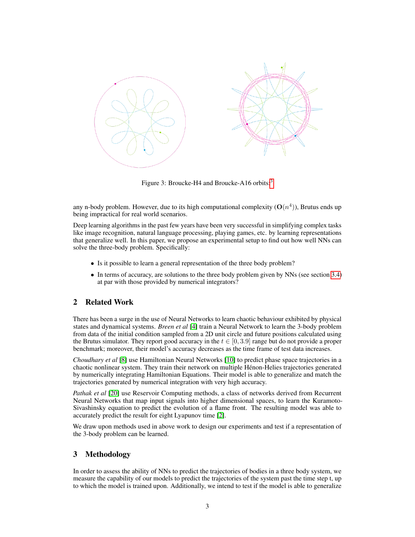<span id="page-2-0"></span>

Figure [3](#page-1-3): Broucke-H4 and Broucke-A16 orbits:<sup>3</sup>

any n-body problem. However, due to its high computational complexity  $(O(n^4))$ , Brutus ends up being impractical for real world scenarios.

Deep learning algorithms in the past few years have been very successful in simplifying complex tasks like image recognition, natural language processing, playing games, etc. by learning representations that generalize well. In this paper, we propose an experimental setup to find out how well NNs can solve the three-body problem. Specifically:

- Is it possible to learn a general representation of the three body problem?
- In terms of accuracy, are solutions to the three body problem given by NNs (see section [3.4\)](#page-5-6) at par with those provided by numerical integrators?

## 2 Related Work

There has been a surge in the use of Neural Networks to learn chaotic behaviour exhibited by physical states and dynamical systems. *Breen et al* [\[4\]](#page-5-2) train a Neural Network to learn the 3-body problem from data of the initial condition sampled from a 2D unit circle and future positions calculated using the Brutus simulator. They report good accuracy in the  $t \in [0, 3.9]$  range but do not provide a proper benchmark; moreover, their model's accuracy decreases as the time frame of test data increases.

*Choudhary et al* [\[8\]](#page-5-7) use Hamiltonian Neural Networks [\[10\]](#page-6-5) to predict phase space trajectories in a chaotic nonlinear system. They train their network on multiple Hénon-Helies trajectories generated by numerically integrating Hamiltonian Equations. Their model is able to generalize and match the trajectories generated by numerical integration with very high accuracy.

*Pathak et al* [\[20\]](#page-6-6) use Reservoir Computing methods, a class of networks derived from Recurrent Neural Networks that map input signals into higher dimensional spaces, to learn the Kuramoto-Sivashinsky equation to predict the evolution of a flame front. The resulting model was able to accurately predict the result for eight Lyapunov time [\[2\]](#page-5-8).

We draw upon methods used in above work to design our experiments and test if a representation of the 3-body problem can be learned.

# 3 Methodology

In order to assess the ability of NNs to predict the trajectories of bodies in a three body system, we measure the capability of our models to predict the trajectories of the system past the time step t, up to which the model is trained upon. Additionally, we intend to test if the model is able to generalize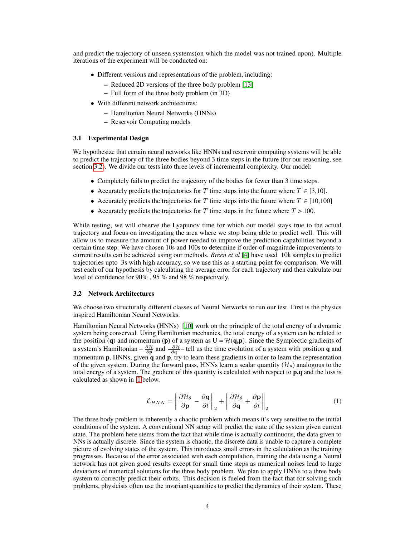and predict the trajectory of unseen systems(on which the model was not trained upon). Multiple iterations of the experiment will be conducted on:

- Different versions and representations of the problem, including:
	- Reduced 2D versions of the three body problem [\[13\]](#page-6-0)
	- Full form of the three body problem (in 3D)
- With different network architectures:
	- Hamiltonian Neural Networks (HNNs)
	- Reservoir Computing models

#### 3.1 Experimental Design

We hypothesize that certain neural networks like HNNs and reservoir computing systems will be able to predict the trajectory of the three bodies beyond 3 time steps in the future (for our reasoning, see section [3.2\)](#page-3-0). We divide our tests into three levels of incremental complexity. Our model:

- Completely fails to predict the trajectory of the bodies for fewer than 3 time steps.
- Accurately predicts the trajectories for T time steps into the future where  $T \in [3,10]$ .
- Accurately predicts the trajectories for T time steps into the future where  $T \in [10,100]$
- Accurately predicts the trajectories for T time steps in the future where  $T > 100$ .

While testing, we will observe the Lyapunov time for which our model stays true to the actual trajectory and focus on investigating the area where we stop being able to predict well. This will allow us to measure the amount of power needed to improve the prediction capabilities beyond a certain time step. We have chosen 10s and 100s to determine if order-of-magnitude improvements to current results can be achieved using our methods. *Breen et al* [\[4\]](#page-5-2) have used 10k samples to predict trajectories upto 3s with high accuracy, so we use this as a starting point for comparison. We will test each of our hypothesis by calculating the average error for each trajectory and then calculate our level of confidence for 90% , 95 % and 98 % respectively.

#### <span id="page-3-0"></span>3.2 Network Architectures

We choose two structurally different classes of Neural Networks to run our test. First is the physics inspired Hamiltonian Neural Networks.

Hamiltonian Neural Networks (HNNs) [\[10\]](#page-6-5) work on the principle of the total energy of a dynamic system being conserved. Using Hamiltonian mechanics, the total energy of a system can be related to the position (q) and momentum (p) of a system as  $U = \mathcal{H}(q,p)$ . Since the Symplectic gradients of a system's Hamiltonian –  $\frac{\partial \mathcal{H}}{\partial \mathbf{p}}$  and  $\frac{-\partial \mathcal{H}}{\partial \mathbf{q}}$  – tell us the time evolution of a system with position **q** and momentum  $\bf{p}$ , HNNs, given  $\bf{q}$  and  $\bf{p}$ , try to learn these gradients in order to learn the representation of the given system. During the forward pass, HNNs learn a scalar quantity  $(\mathcal{H}_{\theta})$  analogous to the total energy of a system. The gradient of this quantity is calculated with respect to  $\mathbf{p},\mathbf{q}$  and the loss is calculated as shown in [1](#page-3-1) below.

$$
\mathcal{L}_{HNN} = \left\| \frac{\partial \mathcal{H}_{\theta}}{\partial \mathbf{p}} - \frac{\partial \mathbf{q}}{\partial t} \right\|_{2} + \left\| \frac{\partial \mathcal{H}_{\theta}}{\partial \mathbf{q}} + \frac{\partial \mathbf{p}}{\partial t} \right\|_{2}
$$
(1)

<span id="page-3-1"></span>The three body problem is inherently a chaotic problem which means it's very sensitive to the initial conditions of the system. A conventional NN setup will predict the state of the system given current state. The problem here stems from the fact that while time is actually continuous, the data given to NNs is actually discrete. Since the system is chaotic, the discrete data is unable to capture a complete picture of evolving states of the system. This introduces small errors in the calculation as the training progresses. Because of the error associated with each computation, training the data using a Neural network has not given good results except for small time steps as numerical noises lead to large deviations of numerical solutions for the three body problem. We plan to apply HNNs to a three body system to correctly predict their orbits. This decision is fueled from the fact that for solving such problems, physicists often use the invariant quantities to predict the dynamics of their system. These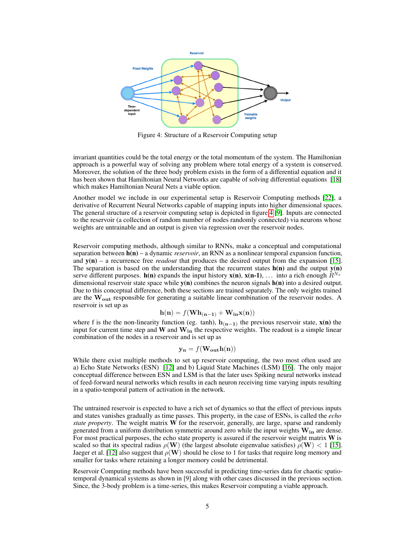<span id="page-4-0"></span>

Figure 4: Structure of a Reservoir Computing setup

invariant quantities could be the total energy or the total momentum of the system. The Hamiltonian approach is a powerful way of solving any problem where total energy of a system is conserved. Moreover, the solution of the three body problem exists in the form of a differential equation and it has been shown that Hamiltonian Neural Networks are capable of solving differential equations [\[18\]](#page-6-7) which makes Hamiltonian Neural Nets a viable option.

Another model we include in our experimental setup is Reservoir Computing methods [\[22\]](#page-6-8), a derivative of Recurrent Neural Networks capable of mapping inputs into higher dimensional spaces. The general structure of a reservoir computing setup is depicted in figure [4](#page-4-0) [\[9\]](#page-6-9). Inputs are connected to the reservoir (a collection of random number of nodes randomly connected) via neurons whose weights are untrainable and an output is given via regression over the reservoir nodes.

Reservoir computing methods, although similar to RNNs, make a conceptual and computational separation between h(n) – a dynamic *reservoir*, an RNN as a nonlinear temporal expansion function, and  $y(n)$  – a recurrence free *readout* that produces the desired output from the expansion [\[15\]](#page-6-10). The separation is based on the understanding that the recurrent states  $h(n)$  and the output  $y(n)$ serve different purposes.  $h(n)$  expands the input history  $x(n)$ ,  $x(n-1)$ , ... into a rich enough  $R^{N_x}$ dimensional reservoir state space while  $y(n)$  combines the neuron signals  $h(n)$  into a desired output. Due to this conceptual difference, both these sections are trained separately. The only weights trained are the W<sub>out</sub> responsible for generating a suitable linear combination of the reservoir nodes. A reservoir is set up as

$$
\mathbf{h}(\mathbf{n}) = f(\mathbf{W}\mathbf{h}_{(\mathbf{n-1})} + \mathbf{W}_{\mathbf{in}}\mathbf{x}(\mathbf{n}))
$$

where f is the the non-linearity function (eg. tanh),  $h_{(n-1)}$  the previous reservoir state,  $x(n)$  the input for current time step and  $W$  and  $W_{in}$  the respective weights. The readout is a simple linear combination of the nodes in a reservoir and is set up as

$$
\mathbf{y_n} = f(\mathbf{W_{out}}\mathbf{h(n)})
$$

While there exist multiple methods to set up reservoir computing, the two most often used are a) Echo State Networks (ESN) [\[12\]](#page-6-11) and b) Liquid State Machines (LSM) [\[16\]](#page-6-12). The only major conceptual difference between ESN and LSM is that the later uses Spiking neural networks instead of feed-forward neural networks which results in each neuron receiving time varying inputs resulting in a spatio-temporal pattern of activation in the network.

The untrained reservoir is expected to have a rich set of dynamics so that the effect of previous inputs and states vanishes gradually as time passes. This property, in the case of ESNs, is called the *echo state property*. The weight matrix W for the reservoir, generally, are large, sparse and randomly generated from a uniform distribution symmetric around zero while the input weights  $W_{in}$  are dense. For most practical purposes, the echo state property is assured if the reservoir weight matrix  $W$  is scaled so that its spectral radius  $\rho(\mathbf{W})$  (the largest absolute eigenvalue satisfies)  $\rho(\mathbf{W}) < 1$  [\[15\]](#page-6-10). Jaeger et al. [\[12\]](#page-6-11) also suggest that  $\rho(\mathbf{W})$  should be close to 1 for tasks that require long memory and smaller for tasks where retaining a longer memory could be detrimental.

Reservoir Computing methods have been successful in predicting time-series data for chaotic spatiotemporal dynamical systems as shown in [9] along with other cases discussed in the previous section. Since, the 3-body problem is a time-series, this makes Reservoir computing a viable approach.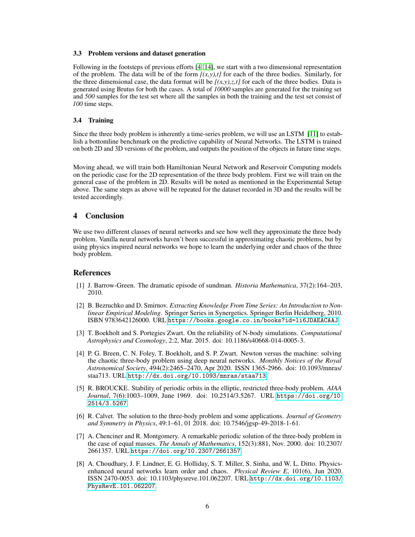#### 3.3 Problem versions and dataset generation

Following in the footsteps of previous efforts [\[4,](#page-5-2) [14\]](#page-6-1), we start with a two dimensional representation of the problem. The data will be of the form  $[(x, y), t]$  for each of the three bodies. Similarly, for the three dimensional case, the data format will be  $[(x, y), z, t]$  for each of the three bodies. Data is generated using Brutus for both the cases. A total of *10000* samples are generated for the training set and *500* samples for the test set where all the samples in both the training and the test set consist of *100* time steps.

#### <span id="page-5-6"></span>3.4 Training

Since the three body problem is inherently a time-series problem, we will use an LSTM [\[11\]](#page-6-13) to establish a bottomline benchmark on the predictive capability of Neural Networks. The LSTM is trained on both 2D and 3D versions of the problem, and outputs the position of the objects in future time steps.

Moving ahead, we will train both Hamiltonian Neural Network and Reservoir Computing models on the periodic case for the 2D representation of the three body problem. First we will train on the general case of the problem in 2D. Results will be noted as mentioned in the Experimental Setup above. The same steps as above will be repeated for the dataset recorded in 3D and the results will be tested accordingly.

### 4 Conclusion

We use two different classes of neural networks and see how well they approximate the three body problem. Vanilla neural networks haven't been successful in approximating chaotic problems, but by using physics inspired neural networks we hope to learn the underlying order and chaos of the three body problem.

#### References

- <span id="page-5-0"></span>[1] J. Barrow-Green. The dramatic episode of sundman. *Historia Mathematica*, 37(2):164–203, 2010.
- <span id="page-5-8"></span>[2] B. Bezruchko and D. Smirnov. *Extracting Knowledge From Time Series: An Introduction to Nonlinear Empirical Modeling*. Springer Series in Synergetics. Springer Berlin Heidelberg, 2010. ISBN 9783642126000. URL <https://books.google.co.in/books?id=li6JDAEACAAJ>.
- <span id="page-5-5"></span>[3] T. Boekholt and S. Portegies Zwart. On the reliability of N-body simulations. *Computational Astrophysics and Cosmology*, 2:2, Mar. 2015. doi: 10.1186/s40668-014-0005-3.
- <span id="page-5-2"></span>[4] P. G. Breen, C. N. Foley, T. Boekholt, and S. P. Zwart. Newton versus the machine: solving the chaotic three-body problem using deep neural networks. *Monthly Notices of the Royal Astronomical Society*, 494(2):2465–2470, Apr 2020. ISSN 1365-2966. doi: 10.1093/mnras/ staa713. URL <http://dx.doi.org/10.1093/mnras/staa713>.
- <span id="page-5-3"></span>[5] R. BROUCKE. Stability of periodic orbits in the elliptic, restricted three-body problem. *AIAA Journal*, 7(6):1003–1009, June 1969. doi: 10.2514/3.5267. URL [https://doi.org/10.](https://doi.org/10.2514/3.5267) [2514/3.5267](https://doi.org/10.2514/3.5267).
- <span id="page-5-1"></span>[6] R. Calvet. The solution to the three-body problem and some applications. *Journal of Geometry and Symmetry in Physics*, 49:1–61, 01 2018. doi: 10.7546/jgsp-49-2018-1-61.
- <span id="page-5-4"></span>[7] A. Chenciner and R. Montgomery. A remarkable periodic solution of the three-body problem in the case of equal masses. *The Annals of Mathematics*, 152(3):881, Nov. 2000. doi: 10.2307/ 2661357. URL <https://doi.org/10.2307/2661357>.
- <span id="page-5-7"></span>[8] A. Choudhary, J. F. Lindner, E. G. Holliday, S. T. Miller, S. Sinha, and W. L. Ditto. Physicsenhanced neural networks learn order and chaos. *Physical Review E*, 101(6), Jun 2020. ISSN 2470-0053. doi: 10.1103/physreve.101.062207. URL [http://dx.doi.org/10.1103/](http://dx.doi.org/10.1103/PhysRevE.101.062207) [PhysRevE.101.062207](http://dx.doi.org/10.1103/PhysRevE.101.062207).